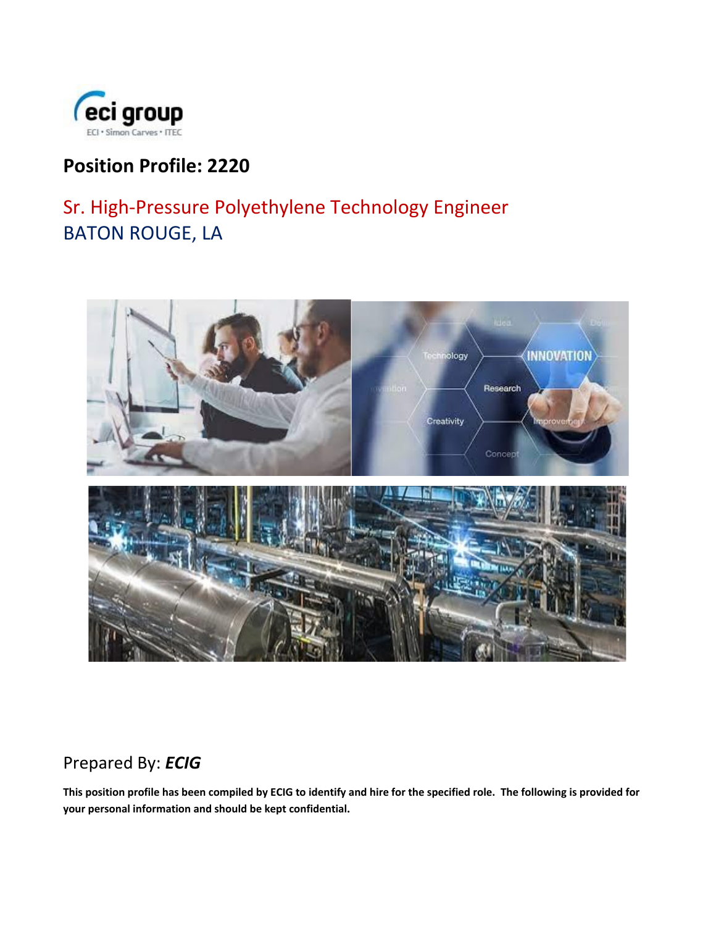

## **Position Profile: 2220**

# Sr. High-Pressure Polyethylene Technology Engineer BATON ROUGE, LA



## Prepared By: *ECIG*

**This position profile has been compiled by ECIG to identify and hire for the specified role. The following is provided for your personal information and should be kept confidential.**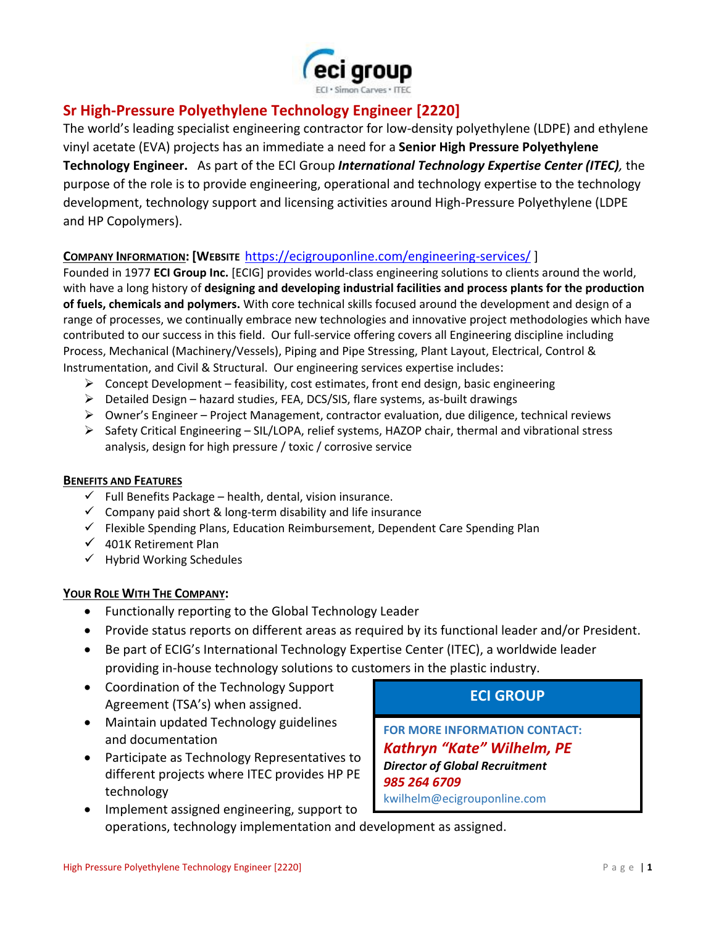

### **Sr High-Pressure Polyethylene Technology Engineer [2220]**

The world's leading specialist engineering contractor for low-density polyethylene (LDPE) and ethylene vinyl acetate (EVA) projects has an immediate a need for a **Senior High Pressure Polyethylene Technology Engineer.** As part of the ECI Group *International Technology Expertise Center (ITEC),* the purpose of the role is to provide engineering, operational and technology expertise to the technology development, technology support and licensing activities around High-Pressure Polyethylene (LDPE and HP Copolymers).

#### **COMPANY INFORMATION: [WEBSITE** <https://ecigrouponline.com/engineering-services/> ]

Founded in 1977 **ECI Group Inc.** [ECIG] provides world-class engineering solutions to clients around the world, with have a long history of **designing and developing industrial facilities and process plants for the production of fuels, chemicals and polymers.** With core technical skills focused around the development and design of a range of processes, we continually embrace new technologies and innovative project methodologies which have contributed to our success in this field. Our full-service offering covers all Engineering discipline including Process, Mechanical (Machinery/Vessels), Piping and Pipe Stressing, Plant Layout, Electrical, Control & Instrumentation, and Civil & Structural. Our engineering services expertise includes:

- $\triangleright$  Concept Development feasibility, cost estimates, front end design, basic engineering
- ➢ Detailed Design hazard studies, FEA, DCS/SIS, flare systems, as-built drawings
- ➢ Owner's Engineer Project Management, contractor evaluation, due diligence, technical reviews
- ➢ Safety Critical Engineering SIL/LOPA, relief systems, HAZOP chair, thermal and vibrational stress analysis, design for high pressure / toxic / corrosive service

#### **BENEFITS AND FEATURES**

- $\checkmark$  Full Benefits Package health, dental, vision insurance.
- $\checkmark$  Company paid short & long-term disability and life insurance
- $\checkmark$  Flexible Spending Plans, Education Reimbursement, Dependent Care Spending Plan
- $\checkmark$  401K Retirement Plan
- ✓ Hybrid Working Schedules

#### **YOUR ROLE WITH THE COMPANY:**

- Functionally reporting to the Global Technology Leader
- Provide status reports on different areas as required by its functional leader and/or President.
- Be part of ECIG's International Technology Expertise Center (ITEC), a worldwide leader providing in-house technology solutions to customers in the plastic industry.
- Coordination of the Technology Support Agreement (TSA's) when assigned.
- Maintain updated Technology guidelines and documentation
- Participate as Technology Representatives to different projects where ITEC provides HP PE technology
- Implement assigned engineering, support to operations, technology implementation and development as assigned.

### **ECI GROUP**

**FOR MORE INFORMATION CONTACT:** *Kathryn "Kate" Wilhelm, PE Director of Global Recruitment 985 264 6709* kwilhelm@ecigrouponline.com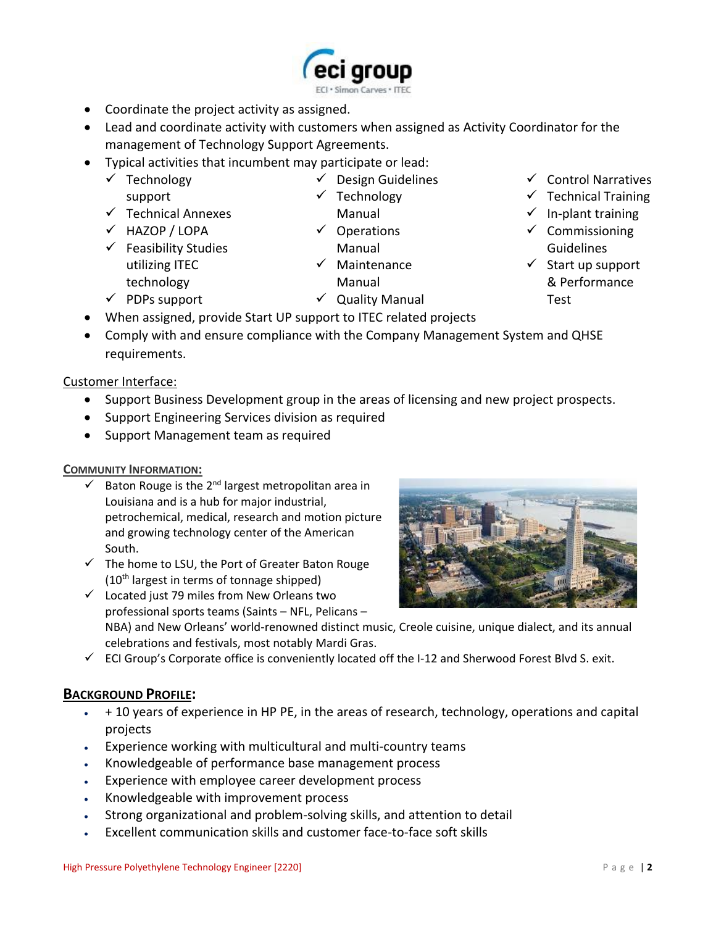- Coordinate the project activity as assigned.
- Lead and coordinate activity with customers when assigned as Activity Coordinator for the management of Technology Support Agreements.
- Typical activities that incumbent may participate or lead:

• When assigned, provide Start UP support to ITEC related projects

- ✓ Technology support
- ✓ Technical Annexes
- ✓ HAZOP / LOPA

 $\checkmark$  PDPs support

- $\checkmark$  Feasibility Studies utilizing ITEC technology
- ✓ Operations Manual

✓ Technology Manual

✓ Design Guidelines

- ✓ Maintenance
	- Manual
- ✓ Quality Manual
- ✓ Control Narratives
- $\checkmark$  Technical Training
- $\checkmark$  In-plant training
- ✓ Commissioning Guidelines
- ✓ Start up support & Performance Test

requirements.

Customer Interface:

• Support Business Development group in the areas of licensing and new project prospects.

• Comply with and ensure compliance with the Company Management System and QHSE

- Support Engineering Services division as required
- Support Management team as required

#### **COMMUNITY INFORMATION:**

- $\checkmark$  Baton Rouge is the 2<sup>nd</sup> largest metropolitan area in Louisiana and is a hub for major industrial, petrochemical, medical, research and motion picture and growing technology center of the American South.
- $\checkmark$  The home to LSU, the Port of Greater Baton Rouge  $(10<sup>th</sup>$  largest in terms of tonnage shipped)

✓ Located just 79 miles from New Orleans two professional sports teams (Saints – NFL, Pelicans –

NBA) and New Orleans' world-renowne[d distinct music,](https://en.wikipedia.org/wiki/Music_of_New_Orleans) [Creole cuisine,](https://en.wikipedia.org/wiki/Louisiana_Creole_cuisine) [unique dialect,](https://en.wikipedia.org/wiki/New_Orleans_English) and its annual celebrations and festivals, most notably [Mardi Gras.](https://en.wikipedia.org/wiki/Mardi_Gras_in_New_Orleans)

 $\checkmark$  ECI Group's Corporate office is conveniently located off the I-12 and Sherwood Forest Blvd S. exit.

#### **BACKGROUND PROFILE:**

- + 10 years of experience in HP PE, in the areas of research, technology, operations and capital projects
- Experience working with multicultural and multi-country teams
- Knowledgeable of performance base management process
- Experience with employee career development process
- Knowledgeable with improvement process
- Strong organizational and problem-solving skills, and attention to detail
- Excellent communication skills and customer face-to-face soft skills